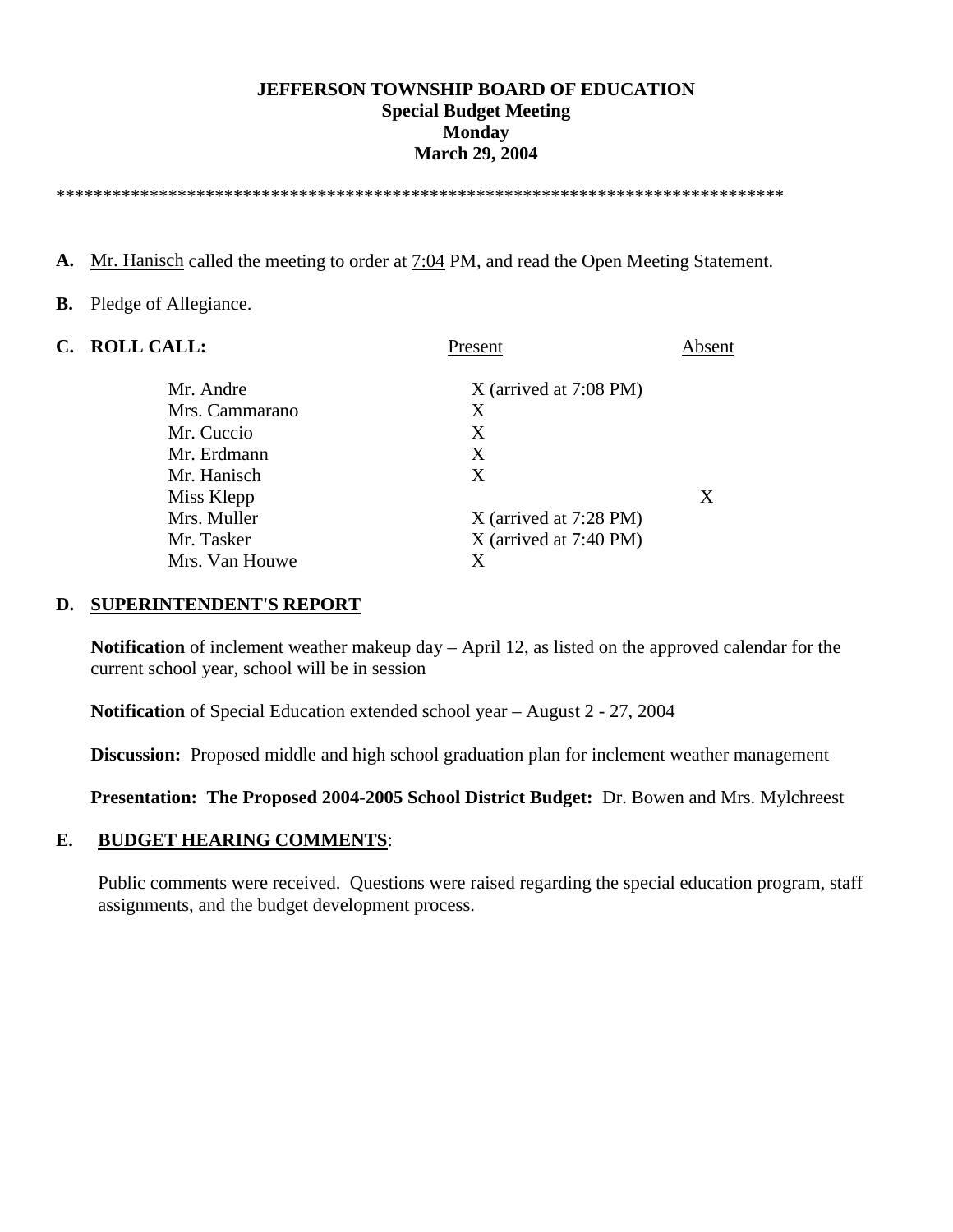### **JEFFERSON TOWNSHIP BOARD OF EDUCATION Special Budget Meeting Monday March 29, 2004**

\*\*\*\*\*\*\*\*\*\*\*\*\*\*\*\*\*\*\*\*\*\*\*\*\*\*\*\*\*\*\*\*\*\*\*\*\*\*\*\*\*\*\*\*\*\*\*\*\*\*\*\*\*\*\*\*\*\*\*\*\*\*\*\*\*\*\*\*\*\*\*\*\*\*\*\*\*\*

A. Mr. Hanisch called the meeting to order at 7:04 PM, and read the Open Meeting Statement.

### **B.** Pledge of Allegiance.

| C. ROLL CALL:  | Present                  | Absent |
|----------------|--------------------------|--------|
| Mr. Andre      | $X$ (arrived at 7:08 PM) |        |
| Mrs. Cammarano | X                        |        |
| Mr. Cuccio     | X                        |        |
| Mr. Erdmann    | X                        |        |
| Mr. Hanisch    | X                        |        |
| Miss Klepp     |                          | X      |
| Mrs. Muller    | X (arrived at 7:28 PM)   |        |
| Mr. Tasker     | $X$ (arrived at 7:40 PM) |        |
| Mrs. Van Houwe | X                        |        |
|                |                          |        |

#### **D. SUPERINTENDENT'S REPORT**

**Notification** of inclement weather makeup day – April 12, as listed on the approved calendar for the current school year, school will be in session

 **Notification** of Special Education extended school year – August 2 - 27, 2004

 **Discussion:** Proposed middle and high school graduation plan for inclement weather management

**Presentation: The Proposed 2004-2005 School District Budget:** Dr. Bowen and Mrs. Mylchreest

### **E. BUDGET HEARING COMMENTS**:

 Public comments were received. Questions were raised regarding the special education program, staff assignments, and the budget development process.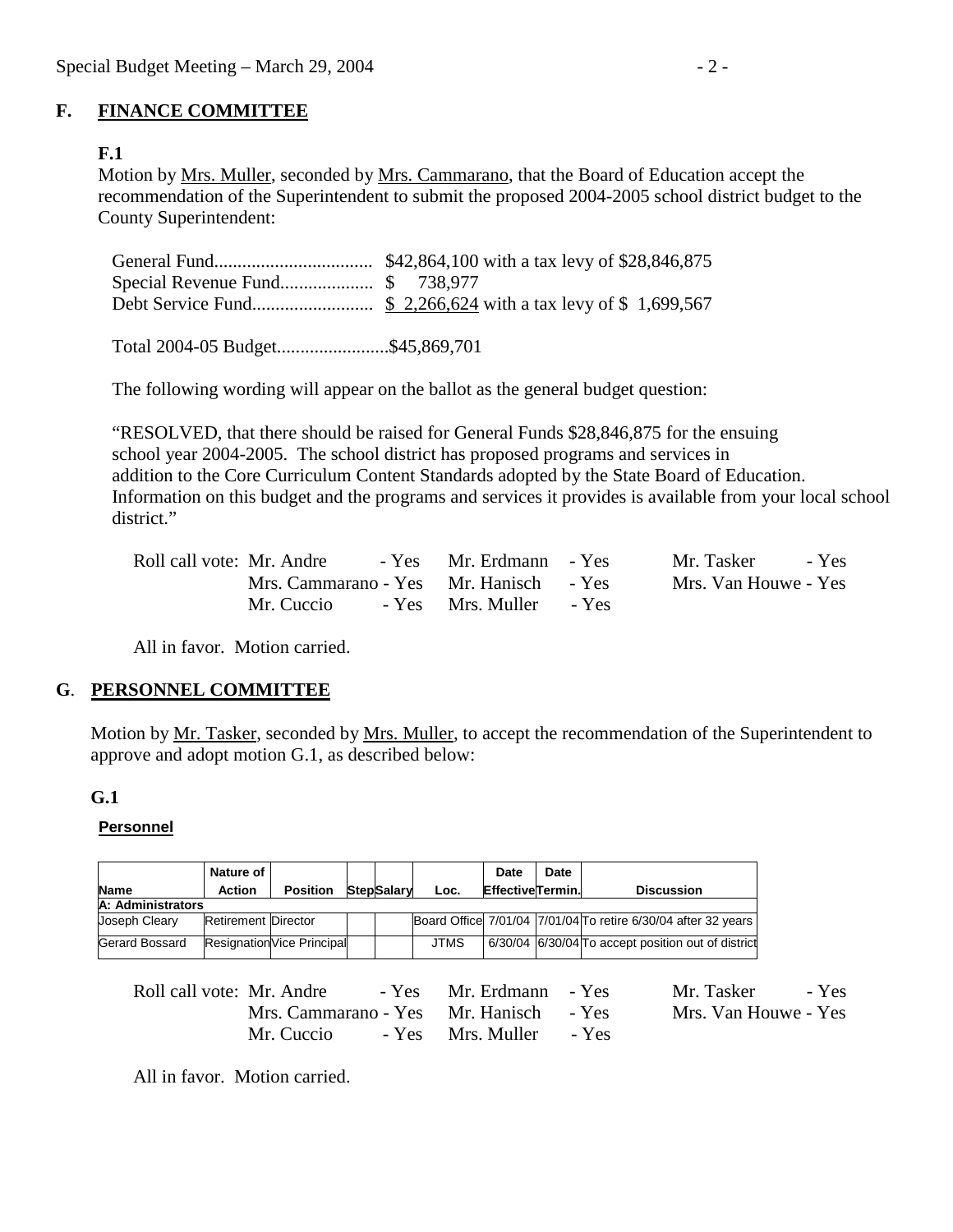# **F. FINANCE COMMITTEE**

# **F.1**

Motion by Mrs. Muller, seconded by Mrs. Cammarano, that the Board of Education accept the recommendation of the Superintendent to submit the proposed 2004-2005 school district budget to the County Superintendent:

Total 2004-05 Budget........................\$45,869,701

The following wording will appear on the ballot as the general budget question:

 "RESOLVED, that there should be raised for General Funds \$28,846,875 for the ensuing school year 2004-2005. The school district has proposed programs and services in addition to the Core Curriculum Content Standards adopted by the State Board of Education. Information on this budget and the programs and services it provides is available from your local school district."

| Roll call vote: Mr. Andre              | - Yes Mr. Erdmann - Yes | Mr. Tasker<br>- Yes  |
|----------------------------------------|-------------------------|----------------------|
| Mrs. Cammarano - Yes Mr. Hanisch - Yes |                         | Mrs. Van Houwe - Yes |
| Mr. Cuccio                             | - Yes Mrs. Muller - Yes |                      |

All in favor. Motion carried.

## **G**. **PERSONNEL COMMITTEE**

Motion by Mr. Tasker, seconded by Mrs. Muller, to accept the recommendation of the Superintendent to approve and adopt motion G.1, as described below:

### **G.1**

### **Personnel**

|                   | Nature of                  |                            |  |                   |      | <b>Date</b>             | Date |                                                               |
|-------------------|----------------------------|----------------------------|--|-------------------|------|-------------------------|------|---------------------------------------------------------------|
| <b>Name</b>       | <b>Action</b>              | <b>Position</b>            |  | <b>StepSalary</b> | Loc. | <b>EffectiveTermin.</b> |      | <b>Discussion</b>                                             |
| A: Administrators |                            |                            |  |                   |      |                         |      |                                                               |
| Joseph Cleary     | <b>Retirement Director</b> |                            |  |                   |      |                         |      | Board Office 7/01/04 7/01/04 To retire 6/30/04 after 32 years |
| Gerard Bossard    |                            | Resignation Vice Principal |  |                   | JTMS |                         |      | 6/30/04 6/30/04 To accept position out of district            |

| Roll call vote: Mr. Andre              | - Yes Mr. Erdmann - Yes | Mr. Tasker - Yes     |
|----------------------------------------|-------------------------|----------------------|
| Mrs. Cammarano - Yes Mr. Hanisch - Yes |                         | Mrs. Van Houwe - Yes |
| Mr. Cuccio                             | - Yes Mrs. Muller - Yes |                      |

All in favor. Motion carried.